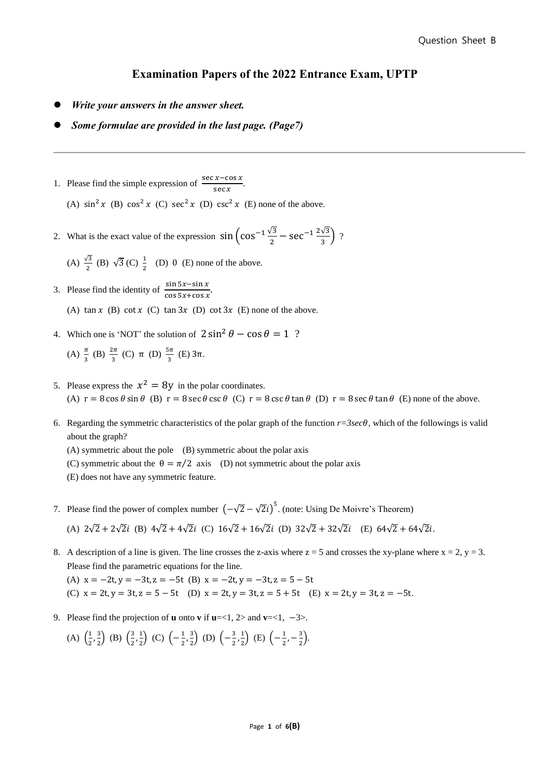## **Examination Papers of the 2022 Entrance Exam, UPTP**

- ⚫ *Write your answers in the answer sheet.*
- ⚫ *Some formulae are provided in the last page. (Page7)*
- 1. Please find the simple expression of  $\frac{\sec x \cos x}{\cos x}$  $\frac{x \cos x}{\sec x}$ .

(A)  $\sin^2 x$  (B)  $\cos^2 x$  (C)  $\sec^2 x$  (D)  $\csc^2 x$  (E) none of the above.

2. What is the exact value of the expression  $\sin \left( \cos^{-1} \frac{\sqrt{3}}{2} - \sec^{-1} \frac{2\sqrt{3}}{3} \right)$  $\frac{\sqrt{3}}{3}$  ?

(A)  $\frac{\sqrt{3}}{2}$  (B)  $\sqrt{3}$  (C)  $\frac{1}{2}$  (D) 0 (E) none of the above.

- 3. Please find the identity of  $\frac{\sin 5x \sin x}{\sin 5x + \sin 5x}$  $\frac{\sin 3x - \sin x}{\cos 5x + \cos x}$ . (A)  $\tan x$  (B)  $\cot x$  (C)  $\tan 3x$  (D)  $\cot 3x$  (E) none of the above.
- 4. Which one is 'NOT' the solution of  $2 \sin^2 \theta \cos \theta = 1$  ?

(A) 
$$
\frac{\pi}{3}
$$
 (B)  $\frac{2\pi}{3}$  (C)  $\pi$  (D)  $\frac{5\pi}{3}$  (E)  $3\pi$ .

- 5. Please express the  $x^2 = 8y$  in the polar coordinates. (A)  $r = 8 \cos \theta \sin \theta$  (B)  $r = 8 \sec \theta \csc \theta$  (C)  $r = 8 \csc \theta \tan \theta$  (D)  $r = 8 \sec \theta \tan \theta$  (E) none of the above.
- 6. Regarding the symmetric characteristics of the polar graph of the function  $r=3\sec\theta$ , which of the followings is valid about the graph?

(A) symmetric about the pole (B) symmetric about the polar axis

(C) symmetric about the  $\theta = \pi/2$  axis (D) not symmetric about the polar axis

- (E) does not have any symmetric feature.
- 7. Please find the power of complex number  $(-\sqrt{2}-\sqrt{2}i)^5$ . (note: Using De Moivre's Theorem) (A)  $2\sqrt{2} + 2\sqrt{2}i$  (B)  $4\sqrt{2} + 4\sqrt{2}i$  (C)  $16\sqrt{2} + 16\sqrt{2}i$  (D)  $32\sqrt{2} + 32\sqrt{2}i$  (E)  $64\sqrt{2} + 64\sqrt{2}i$ .
- 8. A description of a line is given. The line crosses the z-axis where  $z = 5$  and crosses the xy-plane where  $x = 2$ ,  $y = 3$ . Please find the parametric equations for the line. (A)  $x = -2t, y = -3t, z = -5t$  (B)  $x = -2t, y = -3t, z = 5 - 5t$ 
	- (C)  $x = 2t, y = 3t, z = 5 5t$  (D)  $x = 2t, y = 3t, z = 5 + 5t$  (E)  $x = 2t, y = 3t, z = -5t$ .
- 9. Please find the projection of **u** onto **v** if  $\mathbf{u} = <1, 2>$  and  $\mathbf{v} = <1, -3>$ .

(A) 
$$
\left(\frac{1}{2}, \frac{3}{2}\right)
$$
 (B)  $\left(\frac{3}{2}, \frac{1}{2}\right)$  (C)  $\left(-\frac{1}{2}, \frac{3}{2}\right)$  (D)  $\left(-\frac{3}{2}, \frac{1}{2}\right)$  (E)  $\left(-\frac{1}{2}, -\frac{3}{2}\right)$ .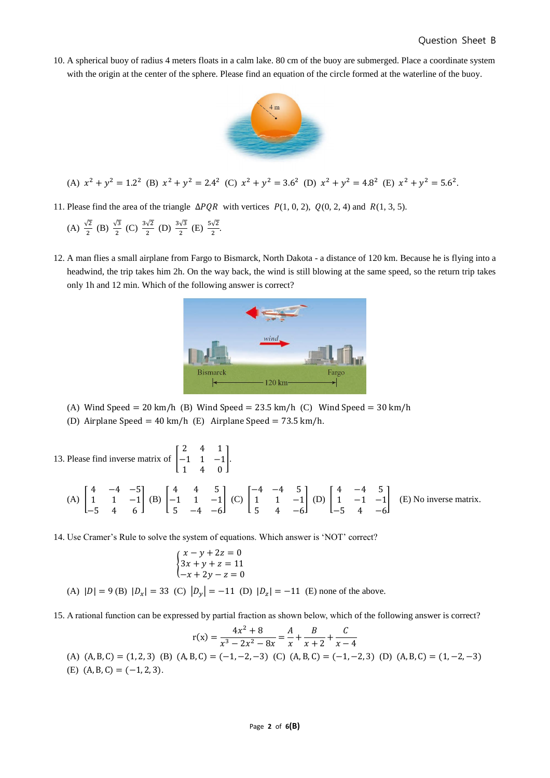10. A spherical buoy of radius 4 meters floats in a calm lake. 80 cm of the buoy are submerged. Place a coordinate system with the origin at the center of the sphere. Please find an equation of the circle formed at the waterline of the buoy.



(A) 
$$
x^2 + y^2 = 1.2^2
$$
 (B)  $x^2 + y^2 = 2.4^2$  (C)  $x^2 + y^2 = 3.6^2$  (D)  $x^2 + y^2 = 4.8^2$  (E)  $x^2 + y^2 = 5.6^2$ .

11. Please find the area of the triangle  $\Delta PQR$  with vertices  $P(1, 0, 2)$ ,  $Q(0, 2, 4)$  and  $R(1, 3, 5)$ .

(A) 
$$
\frac{\sqrt{2}}{2}
$$
 (B)  $\frac{\sqrt{3}}{2}$  (C)  $\frac{3\sqrt{2}}{2}$  (D)  $\frac{3\sqrt{3}}{2}$  (E)  $\frac{5\sqrt{2}}{2}$ .

12. A man flies a small airplane from Fargo to Bismarck, North Dakota - a distance of 120 km. Because he is flying into a headwind, the trip takes him 2h. On the way back, the wind is still blowing at the same speed, so the return trip takes only 1h and 12 min. Which of the following answer is correct?



- (A) Wind Speed =  $20 \text{ km/h}$  (B) Wind Speed =  $23.5 \text{ km/h}$  (C) Wind Speed =  $30 \text{ km/h}$
- (D) Airplane Speed = 40 km/h (E) Airplane Speed = 73.5 km/h.

13. Please find inverse matrix of  $\vert$ 2 4 1 −1 1 −1 1 4 0 ].  $(A)$ 4 −4 −5 1 1 −1 −5 4 6  $\mid$  (B)  $\mid$ 4 4 5 −1 1 −1 5 −4 −6  $\vert$  (C)  $\vert$ −4 −4 5 1 1 −1 5 4 −6  $|$  (D)  $|$ 4 −4 5 1 −1 −1 −5 4 −6 ] (E) No inverse matrix.

14. Use Cramer's Rule to solve the system of equations. Which answer is 'NOT' correct?

$$
\begin{cases}\n x - y + 2z = 0 \\
3x + y + z = 11 \\
-x + 2y - z = 0\n\end{cases}
$$

(A)  $|D| = 9$  (B)  $|D_x| = 33$  (C)  $|D_y| = -11$  (D)  $|D_z| = -11$  (E) none of the above.

15. A rational function can be expressed by partial fraction as shown below, which of the following answer is correct?

$$
r(x) = \frac{4x^2 + 8}{x^3 - 2x^2 - 8x} = \frac{A}{x} + \frac{B}{x+2} + \frac{C}{x-4}
$$

(A)  $(A, B, C) = (1, 2, 3)$  (B)  $(A, B, C) = (-1, -2, -3)$  (C)  $(A, B, C) = (-1, -2, 3)$  (D)  $(A, B, C) = (1, -2, -3)$ (E)  $(A, B, C) = (-1, 2, 3)$ .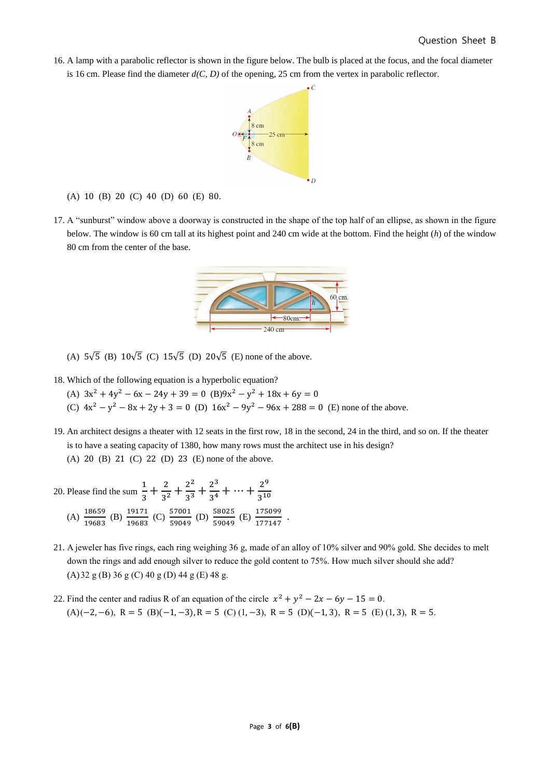16. A lamp with a parabolic reflector is shown in the figure below. The bulb is placed at the focus, and the focal diameter is 16 cm. Please find the diameter *d(C, D)* of the opening, 25 cm from the vertex in parabolic reflector.



(A) 10 (B) 20 (C) 40 (D) 60 (E) 80.

17. A "sunburst" window above a doorway is constructed in the shape of the top half of an ellipse, as shown in the figure below. The window is 60 cm tall at its highest point and 240 cm wide at the bottom. Find the height (*h*) of the window 80 cm from the center of the base.



(A)  $5\sqrt{5}$  (B)  $10\sqrt{5}$  (C)  $15\sqrt{5}$  (D)  $20\sqrt{5}$  (E) none of the above.

- 18. Which of the following equation is a hyperbolic equation?
	- (A)  $3x^2 + 4y^2 6x 24y + 39 = 0$  (B) $9x^2 y^2 + 18x + 6y = 0$
	- (C)  $4x^2 y^2 8x + 2y + 3 = 0$  (D)  $16x^2 9y^2 96x + 288 = 0$  (E) none of the above.
- 19. An architect designs a theater with 12 seats in the first row, 18 in the second, 24 in the third, and so on. If the theater is to have a seating capacity of 1380, how many rows must the architect use in his design? (A) 20 (B) 21 (C) 22 (D) 23 (E) none of the above.
- 20. Please find the sum 1  $\frac{1}{3} + \frac{2}{3^2}$  $rac{2}{3^2} + \frac{2^2}{3^3}$  $rac{2^2}{3^3} + \frac{2^3}{3^4}$  $\frac{2^3}{3^4} + \dots + \frac{2^9}{3^{10}}$ 3 10  $(A) \frac{18659}{18688}$  $\frac{18659}{19683}$  (B)  $\frac{19171}{19683}$ 19171 (C) 57001<br>19683 (C) 59049 57001 (D) 58025<br>59049 (D) 59049 59049 (E) 175099  $\frac{175099}{177147}$ .
- 21. A jeweler has five rings, each ring weighing 36 g, made of an alloy of 10% silver and 90% gold. She decides to melt down the rings and add enough silver to reduce the gold content to 75%. How much silver should she add? (A)32 g (B) 36 g (C) 40 g (D) 44 g (E) 48 g.
- 22. Find the center and radius R of an equation of the circle  $x^2 + y^2 2x 6y 15 = 0$ .  $(A)(-2, -6), R = 5 (B)(-1, -3), R = 5 (C)(1, -3), R = 5 (D)(-1, 3), R = 5 (E)(1, 3), R = 5.$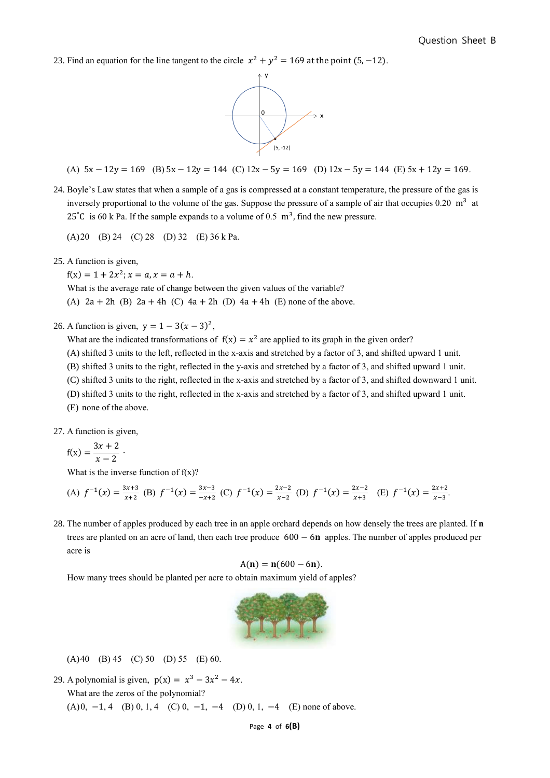23. Find an equation for the line tangent to the circle  $x^2 + y^2 = 169$  at the point (5, -12).



(A) 
$$
5x - 12y = 169
$$
 (B)  $5x - 12y = 144$  (C)  $12x - 5y = 169$  (D)  $12x - 5y = 144$  (E)  $5x + 12y = 169$ .

24. Boyle's Law states that when a sample of a gas is compressed at a constant temperature, the pressure of the gas is inversely proportional to the volume of the gas. Suppose the pressure of a sample of air that occupies  $0.20 \text{ m}^3$  at 25°C is 60 k Pa. If the sample expands to a volume of 0.5  $m<sup>3</sup>$ , find the new pressure.

(A)20 (B) 24 (C) 28 (D) 32 (E) 36 k Pa.

25. A function is given,

 $f(x) = 1 + 2x^2$ ;  $x = a, x = a + h$ . What is the average rate of change between the given values of the variable? (A)  $2a + 2h$  (B)  $2a + 4h$  (C)  $4a + 2h$  (D)  $4a + 4h$  (E) none of the above.

## 26. A function is given,  $y = 1 - 3(x - 3)^2$ ,

What are the indicated transformations of  $f(x) = x^2$  are applied to its graph in the given order?

- (A) shifted 3 units to the left, reflected in the x-axis and stretched by a factor of 3, and shifted upward 1 unit.
- (B) shifted 3 units to the right, reflected in the y-axis and stretched by a factor of 3, and shifted upward 1 unit.
- (C) shifted 3 units to the right, reflected in the x-axis and stretched by a factor of 3, and shifted downward 1 unit.
- (D) shifted 3 units to the right, reflected in the x-axis and stretched by a factor of 3, and shifted upward 1 unit.
- (E) none of the above.

27. A function is given,

$$
f(x) = \frac{3x + 2}{x - 2}
$$

What is the inverse function of  $f(x)$ ?

∙

(A) 
$$
f^{-1}(x) = \frac{3x+3}{x+2}
$$
 (B)  $f^{-1}(x) = \frac{3x-3}{-x+2}$  (C)  $f^{-1}(x) = \frac{2x-2}{x-2}$  (D)  $f^{-1}(x) = \frac{2x-2}{x+3}$  (E)  $f^{-1}(x) = \frac{2x+2}{x-3}$ 

28. The number of apples produced by each tree in an apple orchard depends on how densely the trees are planted. If **n** trees are planted on an acre of land, then each tree produce  $600 - 6n$  apples. The number of apples produced per acre is

$$
A(n) = n(600 - 6n).
$$

How many trees should be planted per acre to obtain maximum yield of apples?



(A)40 (B) 45 (C) 50 (D) 55 (E) 60.

29. A polynomial is given,  $p(x) = x^3 - 3x^2 - 4x$ . What are the zeros of the polynomial? (A) 0, -1, 4 (B) 0, 1, 4 (C) 0, -1, -4 (D) 0, 1, -4 (E) none of above.

Page **4** of **6(B)**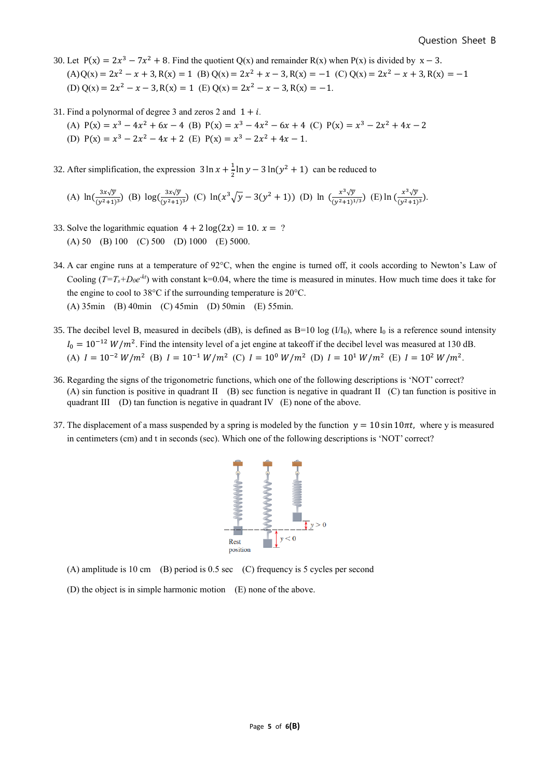- 30. Let  $P(x) = 2x^3 7x^2 + 8$ . Find the quotient Q(x) and remainder R(x) when P(x) is divided by  $x 3$ .  $(A)Q(x) = 2x^2 - x + 3$ ,  $R(x) = 1$  (B)  $Q(x) = 2x^2 + x - 3$ ,  $R(x) = -1$  (C)  $Q(x) = 2x^2 - x + 3$ ,  $R(x) = -1$ (D)  $Q(x) = 2x^2 - x - 3$ ,  $R(x) = 1$  (E)  $Q(x) = 2x^2 - x - 3$ ,  $R(x) = -1$ .
- 31. Find a polynormal of degree 3 and zeros 2 and  $1 + i$ .
	- (A)  $P(x) = x^3 4x^2 + 6x 4$  (B)  $P(x) = x^3 4x^2 6x + 4$  (C)  $P(x) = x^3 2x^2 + 4x 2$
	- (D)  $P(x) = x^3 2x^2 4x + 2$  (E)  $P(x) = x^3 2x^2 + 4x 1$ .
- 32. After simplification, the expression  $3 \ln x + \frac{1}{2}$  $\frac{1}{2}$ ln  $y - 3 \ln(y^2 + 1)$  can be reduced to

(A) 
$$
\ln(\frac{3x\sqrt{y}}{(y^2+1)^3})
$$
 (B)  $\log(\frac{3x\sqrt{y}}{(y^2+1)^3})$  (C)  $\ln(x^3\sqrt{y}-3(y^2+1))$  (D)  $\ln(\frac{x^3\sqrt{y}}{(y^2+1)^{1/3}})$  (E)  $\ln(\frac{x^3\sqrt{y}}{(y^2+1)^3})$ .

- 33. Solve the logarithmic equation  $4 + 2 \log(2x) = 10$ .  $x = ?$ (A) 50 (B) 100 (C) 500 (D) 1000 (E) 5000.
- 34. A car engine runs at a temperature of 92°C, when the engine is turned off, it cools according to Newton's Law of Cooling  $(T=T_s+D_0e^{-kt})$  with constant k=0.04, where the time is measured in minutes. How much time does it take for the engine to cool to 38°C if the surrounding temperature is 20°C. (A) 35min (B) 40min (C) 45min (D) 50min (E) 55min.
- 35. The decibel level B, measured in decibels (dB), is defined as  $B=10 \log (1/I_0)$ , where  $I_0$  is a reference sound intensity  $I_0 = 10^{-12} W/m^2$ . Find the intensity level of a jet engine at takeoff if the decibel level was measured at 130 dB. (A)  $I = 10^{-2} W/m^2$  (B)  $I = 10^{-1} W/m^2$  (C)  $I = 10^0 W/m^2$  (D)  $I = 10^1 W/m^2$  (E)  $I = 10^2 W/m^2$ .
- 36. Regarding the signs of the trigonometric functions, which one of the following descriptions is 'NOT' correct? (A) sin function is positive in quadrant II (B) sec function is negative in quadrant II (C) tan function is positive in quadrant III (D) tan function is negative in quadrant IV (E) none of the above.
- 37. The displacement of a mass suspended by a spring is modeled by the function  $y = 10 \sin 10\pi t$ , where y is measured in centimeters (cm) and t in seconds (sec). Which one of the following descriptions is 'NOT' correct?



- (A) amplitude is 10 cm (B) period is 0.5 sec (C) frequency is 5 cycles per second
- (D) the object is in simple harmonic motion (E) none of the above.